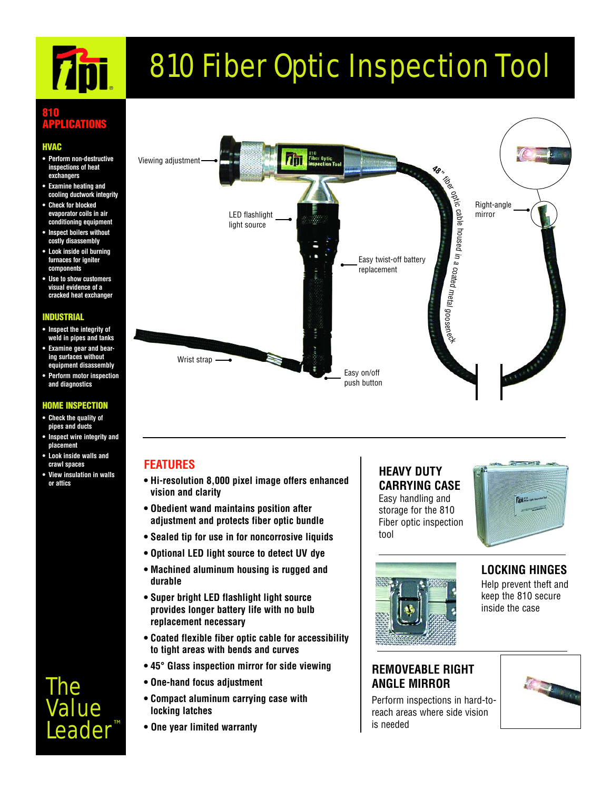# **761**

# 810 Fiber Optic Inspection Tool

#### **810 ACATIO**

#### **HVAC**

- **Perform non-destructive inspections of heat exchangers**
- **Examine heating and cooling ductwork integrity**
- **Check for blocked evaporator coils in air conditioning equipment**
- **Inspect boilers without costly disassembly**
- **Look inside oil burning furnaces for igniter components**
- **Use to show customers visual evidence of a cracked heat exchanger**

#### **INDUSTRIAL**

- **Inspect the integrity of weld in pipes and tanks**
- **Examine gear and bearing surfaces without equipment disassembly**
- **Perform motor inspection and diagnostics**

#### **HOME INSPECTION**

- **Check the quality of pipes and ducts**
- **Inspect wire integrity and placement**
- **Look inside walls and crawl spaces**
- **View insulation in walls or attics**

## The Value Leader



#### **FEATURES**

- **Hi-resolution 8,000 pixel image offers enhanced vision and clarity**
- **Obedient wand maintains position after adjustment and protects fiber optic bundle**
- **Sealed tip for use in for noncorrosive liquids**
- **Optional LED light source to detect UV dye**
- **Machined aluminum housing is rugged and durable**
- **Super bright LED flashlight light source provides longer battery life with no bulb replacement necessary**
- **Coated flexible fiber optic cable for accessibility to tight areas with bends and curves**
- **45° Glass inspection mirror for side viewing**
- **One-hand focus adjustment**
- **Compact aluminum carrying case with locking latches**
- **One year limited warranty**

#### **HEAVY DUTY CARRYING CASE**

Easy handling and storage for the 810 Fiber optic inspection tool





#### **LOCKING HINGES** Help prevent theft and keep the 810 secure inside the case

#### **REMOVEABLE RIGHT ANGLE MIRROR**

Perform inspections in hard-toreach areas where side vision is needed